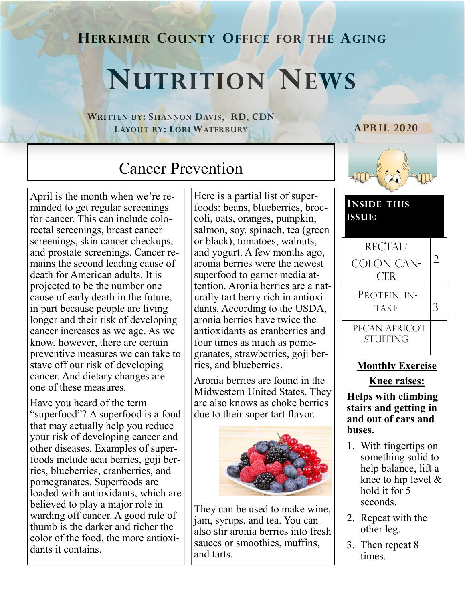## **HERKIMER COUNTY OFFICE FOR THE AGING**

# **NUTRITION NEWS**

**WRITTEN BY: SHANNON DAVIS, RD, CDN LAYOUT BY: LORI WATERBURY**

#### **APRIL 2020**

# Cancer Prevention

April is the month when we're reminded to get regular screenings for cancer. This can include colorectal screenings, breast cancer screenings, skin cancer checkups, and prostate screenings. Cancer remains the second leading cause of death for American adults. It is projected to be the number one cause of early death in the future, in part because people are living longer and their risk of developing cancer increases as we age. As we know, however, there are certain preventive measures we can take to stave off our risk of developing cancer. And dietary changes are one of these measures.

Have you heard of the term "superfood"? A superfood is a food that may actually help you reduce your risk of developing cancer and other diseases. Examples of superfoods include acai berries, goji berries, blueberries, cranberries, and pomegranates. Superfoods are loaded with antioxidants, which are believed to play a major role in warding off cancer. A good rule of thumb is the darker and richer the color of the food, the more antioxidants it contains.

Here is a partial list of superfoods: beans, blueberries, broccoli, oats, oranges, pumpkin, salmon, soy, spinach, tea (green or black), tomatoes, walnuts, and yogurt. A few months ago, aronia berries were the newest superfood to garner media attention. Aronia berries are a naturally tart berry rich in antioxidants. According to the USDA, aronia berries have twice the antioxidants as cranberries and four times as much as pomegranates, strawberries, goji berries, and blueberries.

Aronia berries are found in the Midwestern United States. They are also knows as choke berries due to their super tart flavor.



They can be used to make wine, jam, syrups, and tea. You can also stir aronia berries into fresh sauces or smoothies, muffins, and tarts.



| <b>INSIDE THIS</b><br><b>ISSUE:</b> |  |
|-------------------------------------|--|
| RECTAL/                             |  |
| <b>COLON CAN-</b><br><b>CER</b>     |  |
|                                     |  |

PROTEIN IN- $TAKE$  3

PECAN APRICOT **STUFFING** 

#### **Monthly Exercise**

#### **Knee raises:**

**Helps with climbing stairs and getting in and out of cars and buses.**

- 1. With fingertips on something solid to help balance, lift a knee to hip level & hold it for 5 seconds.
- 2. Repeat with the other leg.
- 3. Then repeat 8 times.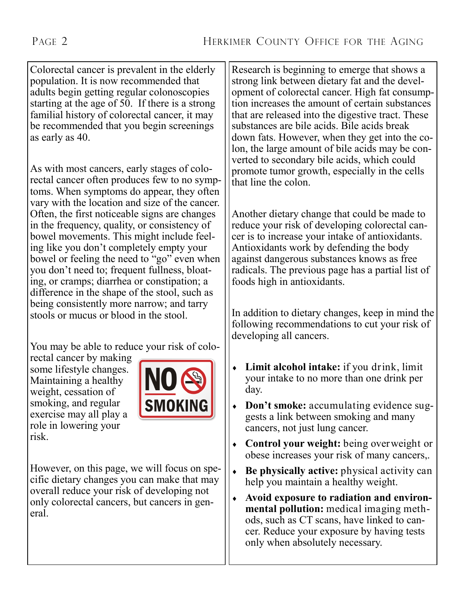Colorectal cancer is prevalent in the elderly population. It is now recommended that adults begin getting regular colonoscopies starting at the age of 50. If there is a strong familial history of colorectal cancer, it may be recommended that you begin screenings as early as 40.

As with most cancers, early stages of colorectal cancer often produces few to no symptoms. When symptoms do appear, they often vary with the location and size of the cancer. Often, the first noticeable signs are changes in the frequency, quality, or consistency of bowel movements. This might include feeling like you don't completely empty your bowel or feeling the need to "go" even when you don't need to; frequent fullness, bloating, or cramps; diarrhea or constipation; a difference in the shape of the stool, such as being consistently more narrow; and tarry stools or mucus or blood in the stool.

You may be able to reduce your risk of colo-

rectal cancer by making some lifestyle changes. Maintaining a healthy weight, cessation of smoking, and regular exercise may all play a role in lowering your risk.



However, on this page, we will focus on specific dietary changes you can make that may overall reduce your risk of developing not only colorectal cancers, but cancers in general.

Research is beginning to emerge that shows a strong link between dietary fat and the development of colorectal cancer. High fat consumption increases the amount of certain substances that are released into the digestive tract. These substances are bile acids. Bile acids break down fats. However, when they get into the colon, the large amount of bile acids may be converted to secondary bile acids, which could promote tumor growth, especially in the cells that line the colon.

Another dietary change that could be made to reduce your risk of developing colorectal cancer is to increase your intake of antioxidants. Antioxidants work by defending the body against dangerous substances knows as free radicals. The previous page has a partial list of foods high in antioxidants.

In addition to dietary changes, keep in mind the following recommendations to cut your risk of developing all cancers.

- **Limit alcohol intake:** if you drink, limit your intake to no more than one drink per day.
- **Don't smoke:** accumulating evidence suggests a link between smoking and many cancers, not just lung cancer.
- **Control your weight:** being overweight or obese increases your risk of many cancers,.
- **Be physically active:** physical activity can help you maintain a healthy weight.
- **Avoid exposure to radiation and environmental pollution:** medical imaging methods, such as CT scans, have linked to cancer. Reduce your exposure by having tests only when absolutely necessary.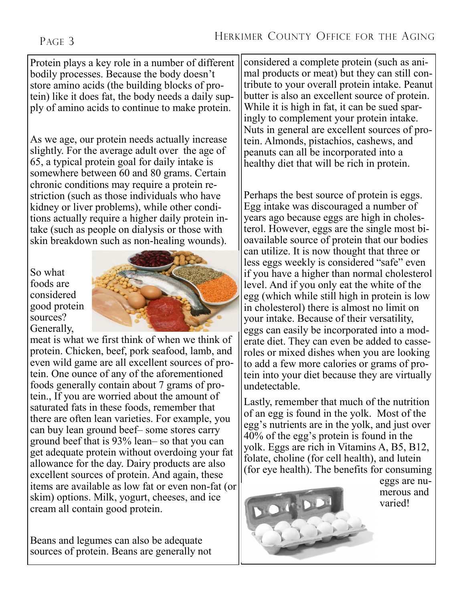#### PAGE 3

Protein plays a key role in a number of different bodily processes. Because the body doesn't store amino acids (the building blocks of protein) like it does fat, the body needs a daily supply of amino acids to continue to make protein.

As we age, our protein needs actually increase slightly. For the average adult over the age of 65, a typical protein goal for daily intake is somewhere between 60 and 80 grams. Certain chronic conditions may require a protein restriction (such as those individuals who have kidney or liver problems), while other conditions actually require a higher daily protein intake (such as people on dialysis or those with skin breakdown such as non-healing wounds).

So what foods are considered good protein sources? Generally,



meat is what we first think of when we think of protein. Chicken, beef, pork seafood, lamb, and even wild game are all excellent sources of protein. One ounce of any of the aforementioned foods generally contain about 7 grams of protein., If you are worried about the amount of saturated fats in these foods, remember that there are often lean varieties. For example, you can buy lean ground beef– some stores carry ground beef that is 93% lean– so that you can get adequate protein without overdoing your fat allowance for the day. Dairy products are also excellent sources of protein. And again, these items are available as low fat or even non-fat (or skim) options. Milk, yogurt, cheeses, and ice cream all contain good protein.

Beans and legumes can also be adequate sources of protein. Beans are generally not considered a complete protein (such as animal products or meat) but they can still contribute to your overall protein intake. Peanut butter is also an excellent source of protein. While it is high in fat, it can be sued sparingly to complement your protein intake. Nuts in general are excellent sources of protein. Almonds, pistachios, cashews, and peanuts can all be incorporated into a healthy diet that will be rich in protein.

Perhaps the best source of protein is eggs. Egg intake was discouraged a number of years ago because eggs are high in cholesterol. However, eggs are the single most bioavailable source of protein that our bodies can utilize. It is now thought that three or less eggs weekly is considered "safe" even if you have a higher than normal cholesterol level. And if you only eat the white of the egg (which while still high in protein is low in cholesterol) there is almost no limit on your intake. Because of their versatility, eggs can easily be incorporated into a moderate diet. They can even be added to casseroles or mixed dishes when you are looking to add a few more calories or grams of protein into your diet because they are virtually undetectable.

Lastly, remember that much of the nutrition of an egg is found in the yolk. Most of the egg's nutrients are in the yolk, and just over 40% of the egg's protein is found in the yolk. Eggs are rich in Vitamins A, B5, B12, folate, choline (for cell health), and lutein (for eye health). The benefits for consuming



eggs are numerous and varied!